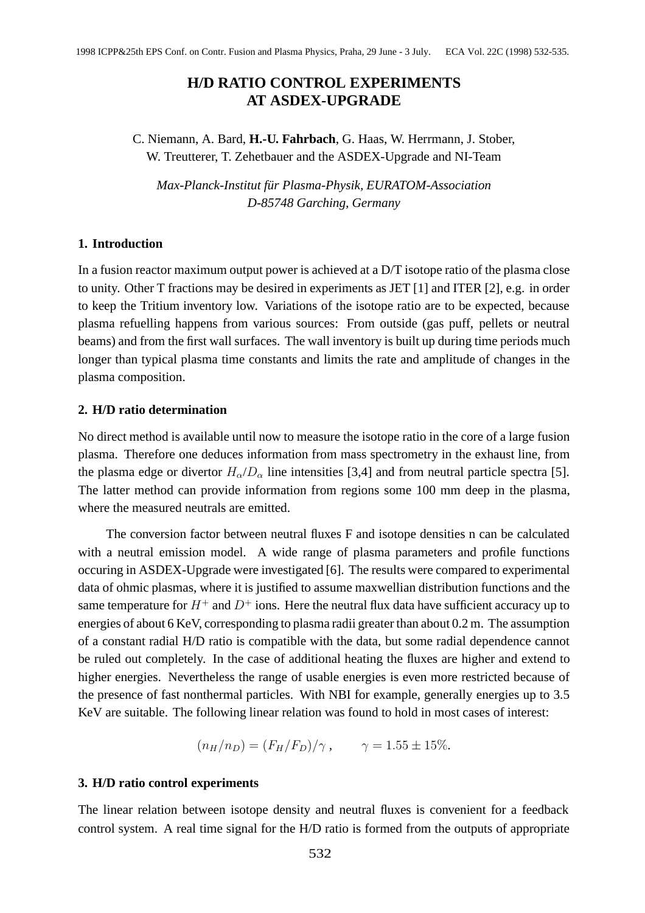# **H/D RATIO CONTROL EXPERIMENTS AT ASDEX-UPGRADE**

C. Niemann, A. Bard, **H.-U. Fahrbach**, G. Haas, W. Herrmann, J. Stober, W. Treutterer, T. Zehetbauer and the ASDEX-Upgrade and NI-Team

*Max-Planck-Institut fur Plasma-Physik, EURATOM-Association ¨ D-85748 Garching, Germany*

## **1. Introduction**

In a fusion reactor maximum output power is achieved at a  $D/T$  isotope ratio of the plasma close to unity. Other T fractions may be desired in experiments as JET [1] and ITER [2], e.g. in order to keep the Tritium inventory low. Variations of the isotope ratio are to be expected, because plasma refuelling happens from various sources: From outside (gas puff, pellets or neutral beams) and from the first wall surfaces. The wall inventory is built up during time periods much longer than typical plasma time constants and limits the rate and amplitude of changes in the plasma composition.

## **2. H/D ratio determination**

No direct method is available until now to measure the isotope ratio in the core of a large fusion plasma. Therefore one deduces information from mass spectrometry in the exhaust line, from the plasma edge or divertor  $H_{\alpha}/D_{\alpha}$  line intensities [3,4] and from neutral particle spectra [5]. The latter method can provide information from regions some 100 mm deep in the plasma, where the measured neutrals are emitted.

The conversion factor between neutral fluxes F and isotope densities n can be calculated with a neutral emission model. A wide range of plasma parameters and profile functions occuring in ASDEX-Upgrade were investigated [6]. The results were compared to experimental data of ohmic plasmas, where it is justified to assume maxwellian distribution functions and the same temperature for  $H^+$  and  $D^+$  ions. Here the neutral flux data have sufficient accuracy up to energies of about 6 KeV, corresponding to plasma radii greater than about 0.2 m. The assumption of a constant radial H/D ratio is compatible with the data, but some radial dependence cannot be ruled out completely. In the case of additional heating the fluxes are higher and extend to higher energies. Nevertheless the range of usable energies is even more restricted because of the presence of fast nonthermal particles. With NBI for example, generally energies up to 3.5 KeV are suitable. The following linear relation was found to hold in most cases of interest: TI/D RATHO CONTROL EXPERIMENTS AT ASDEX-UPGRADE C. Nieman, A. Fand, H.J.1, Fahrhach, G. Haas. W. Hermann, J. Sinker, W. Wentere, T. Zelehbures and the ASDEX-UPGRAde and NI Team Mass Plane-Arange and the ASDEX Upgrade and

$$
(n_H/n_D) = (F_H/F_D)/\gamma
$$
,  $\gamma = 1.55 \pm 15\%.$ 

# **3. H/D ratio control experiments**

The linear relation between isotope density and neutral fluxes is convenient for a feedback control system. A real time signal for the H/D ratio is formed from the outputs of appropriate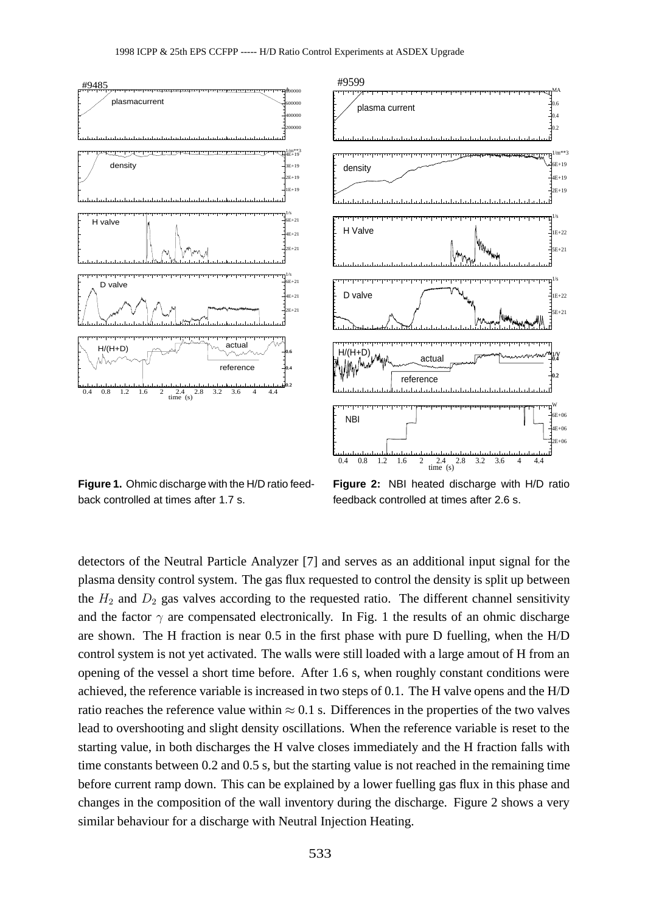

**Figure 1.** Ohmic discharge with the H/D ratio feedback controlled at times after 1.7 s.

**Figure 2:** NBI heated discharge with H/D ratio feedback controlled at times after 2.6 s.

detectors of the Neutral Particle Analyzer [7] and serves as an additional input signal for the plasma density control system. The gas flux requested to control the density is split up between the  $H_2$  and  $D_2$  gas valves according to the requested ratio. The different channel sensitivity and the factor  $\gamma$  are compensated electronically. In Fig. 1 the results of an ohmic discharge are shown. The H fraction is near 0.5 in the first phase with pure D fuelling, when the H/D control system is not yet activated. The walls were still loaded with a large amout of H from an opening of the vessel a short time before. After 1.6 s, when roughly constant conditions were achieved, the reference variable is increased in two steps of 0.1. The H valve opens and the H/D ratio reaches the reference value within  $\approx 0.1$  s. Differences in the properties of the two valves lead to overshooting and slight density oscillations. When the reference variable is reset to the starting value, in both discharges the H valve closes immediately and the H fraction falls with time constants between 0.2 and 0.5 s, but the starting value is not reached in the remaining time before current ramp down. This can be explained by a lower fuelling gas flux in this phase and changes in the composition of the wall inventory during the discharge. Figure 2 shows a very similar behaviour for a discharge with Neutral Injection Heating.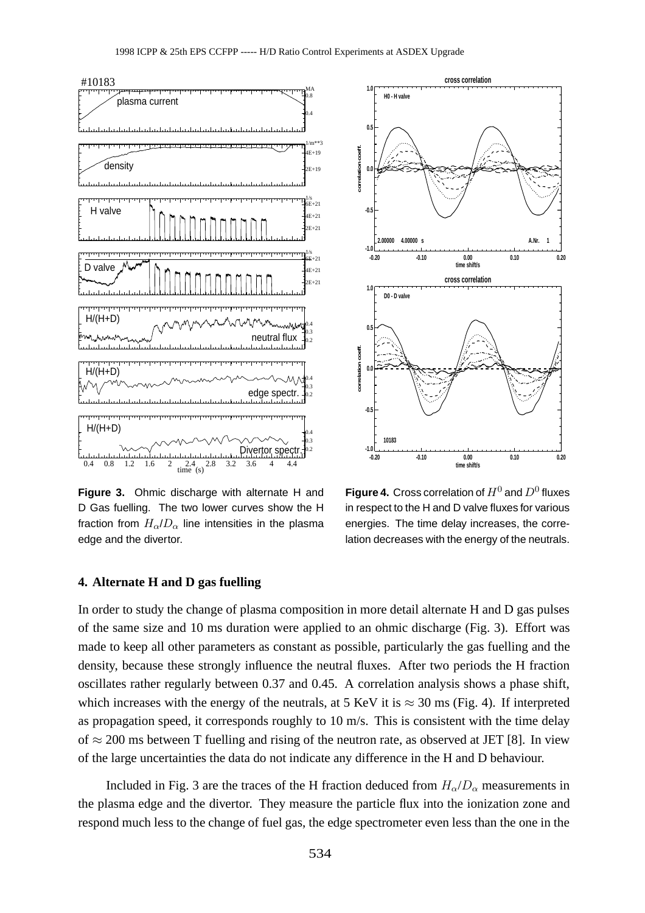

**Figure 3.** Ohmic discharge with alternate H and D Gas fuelling. The two lower curves show the H fraction from  $H_{\alpha}/D_{\alpha}$  line intensities in the plasma edge and the divertor.



**Figure 4.** Cross correlation of  $H^0$  and  $D^0$  fluxes in respect to the H and D valve fluxes for various energies. The time delay increases, the correlation decreases with the energy of the neutrals.

## **4. Alternate H and D gas fuelling**

In order to study the change of plasma composition in more detail alternate H and D gas pulses of the same size and 10 ms duration were applied to an ohmic discharge (Fig. 3). Effort was made to keep all other parameters as constant as possible, particularly the gas fuelling and the density, because these strongly influence the neutral fluxes. After two periods the H fraction oscillates rather regularly between 0.37 and 0.45. A correlation analysis shows a phase shift, which increases with the energy of the neutrals, at 5 KeV it is  $\approx 30$  ms (Fig. 4). If interpreted as propagation speed, it corresponds roughly to 10 m/s. This is consistent with the time delay of  $\approx$  200 ms between T fuelling and rising of the neutron rate, as observed at JET [8]. In view of the large uncertainties the data do not indicate any difference in the H and D behaviour.

Included in Fig. 3 are the traces of the H fraction deduced from  $H_{\alpha}/D_{\alpha}$  measurements in the plasma edge and the divertor. They measure the particle flux into the ionization zone and respond much less to the change of fuel gas, the edge spectrometer even less than the one in the